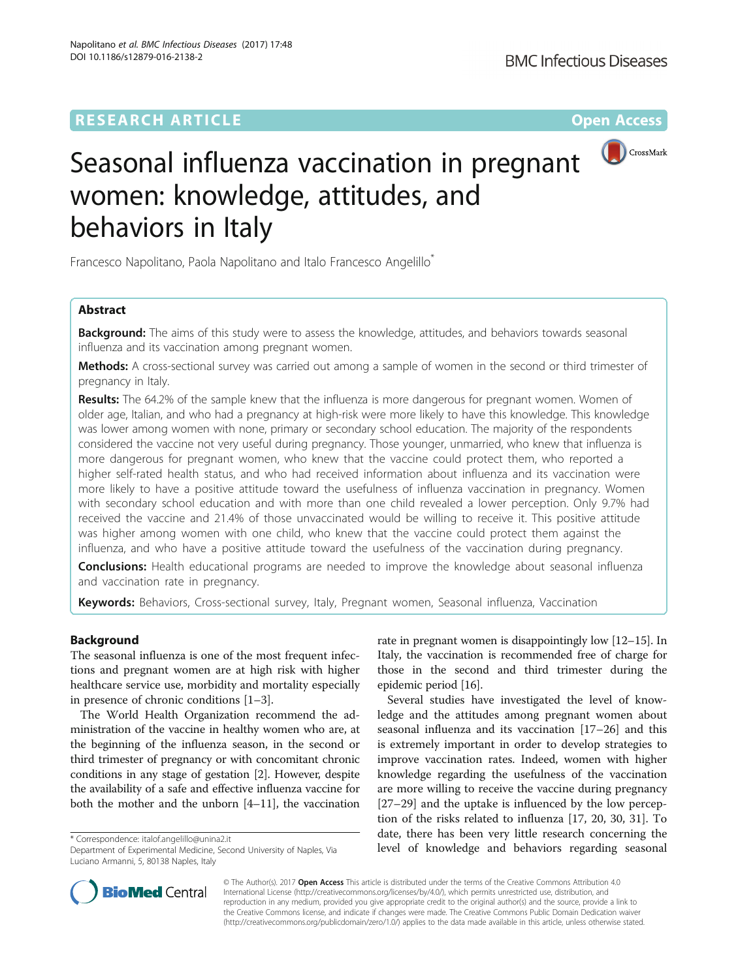# **RESEARCH ARTICLE External Structure Community Community Community Community Community Community Community Community**



# Seasonal influenza vaccination in pregnant women: knowledge, attitudes, and behaviors in Italy

Francesco Napolitano, Paola Napolitano and Italo Francesco Angelillo<sup>\*</sup>

# Abstract

**Background:** The aims of this study were to assess the knowledge, attitudes, and behaviors towards seasonal influenza and its vaccination among pregnant women.

Methods: A cross-sectional survey was carried out among a sample of women in the second or third trimester of pregnancy in Italy.

Results: The 64.2% of the sample knew that the influenza is more dangerous for pregnant women. Women of older age, Italian, and who had a pregnancy at high-risk were more likely to have this knowledge. This knowledge was lower among women with none, primary or secondary school education. The majority of the respondents considered the vaccine not very useful during pregnancy. Those younger, unmarried, who knew that influenza is more dangerous for pregnant women, who knew that the vaccine could protect them, who reported a higher self-rated health status, and who had received information about influenza and its vaccination were more likely to have a positive attitude toward the usefulness of influenza vaccination in pregnancy. Women with secondary school education and with more than one child revealed a lower perception. Only 9.7% had received the vaccine and 21.4% of those unvaccinated would be willing to receive it. This positive attitude was higher among women with one child, who knew that the vaccine could protect them against the influenza, and who have a positive attitude toward the usefulness of the vaccination during pregnancy.

**Conclusions:** Health educational programs are needed to improve the knowledge about seasonal influenza and vaccination rate in pregnancy.

**Keywords:** Behaviors, Cross-sectional survey, Italy, Pregnant women, Seasonal influenza, Vaccination

# Background

The seasonal influenza is one of the most frequent infections and pregnant women are at high risk with higher healthcare service use, morbidity and mortality especially in presence of chronic conditions [[1](#page-5-0)–[3\]](#page-5-0).

The World Health Organization recommend the administration of the vaccine in healthy women who are, at the beginning of the influenza season, in the second or third trimester of pregnancy or with concomitant chronic conditions in any stage of gestation [\[2\]](#page-5-0). However, despite the availability of a safe and effective influenza vaccine for both the mother and the unborn [\[4](#page-5-0)–[11\]](#page-6-0), the vaccination

rate in pregnant women is disappointingly low [\[12](#page-6-0)–[15](#page-6-0)]. In Italy, the vaccination is recommended free of charge for those in the second and third trimester during the epidemic period [\[16\]](#page-6-0).

Several studies have investigated the level of knowledge and the attitudes among pregnant women about seasonal influenza and its vaccination [\[17](#page-6-0)–[26](#page-6-0)] and this is extremely important in order to develop strategies to improve vaccination rates. Indeed, women with higher knowledge regarding the usefulness of the vaccination are more willing to receive the vaccine during pregnancy [[27](#page-6-0)–[29](#page-6-0)] and the uptake is influenced by the low perception of the risks related to influenza [[17, 20](#page-6-0), [30, 31](#page-6-0)]. To date, there has been very little research concerning the level of the behaviors regarding the seasonal website in the seasonal term is been very inder research concerning the<br>Department of Experimental Medicine, Second University of Naples, Via level of knowledge and behaviors r



© The Author(s). 2017 **Open Access** This article is distributed under the terms of the Creative Commons Attribution 4.0 International License [\(http://creativecommons.org/licenses/by/4.0/](http://creativecommons.org/licenses/by/4.0/)), which permits unrestricted use, distribution, and reproduction in any medium, provided you give appropriate credit to the original author(s) and the source, provide a link to the Creative Commons license, and indicate if changes were made. The Creative Commons Public Domain Dedication waiver [\(http://creativecommons.org/publicdomain/zero/1.0/](http://creativecommons.org/publicdomain/zero/1.0/)) applies to the data made available in this article, unless otherwise stated.

Department of Experimental Medicine, Second University of Naples, Via Luciano Armanni, 5, 80138 Naples, Italy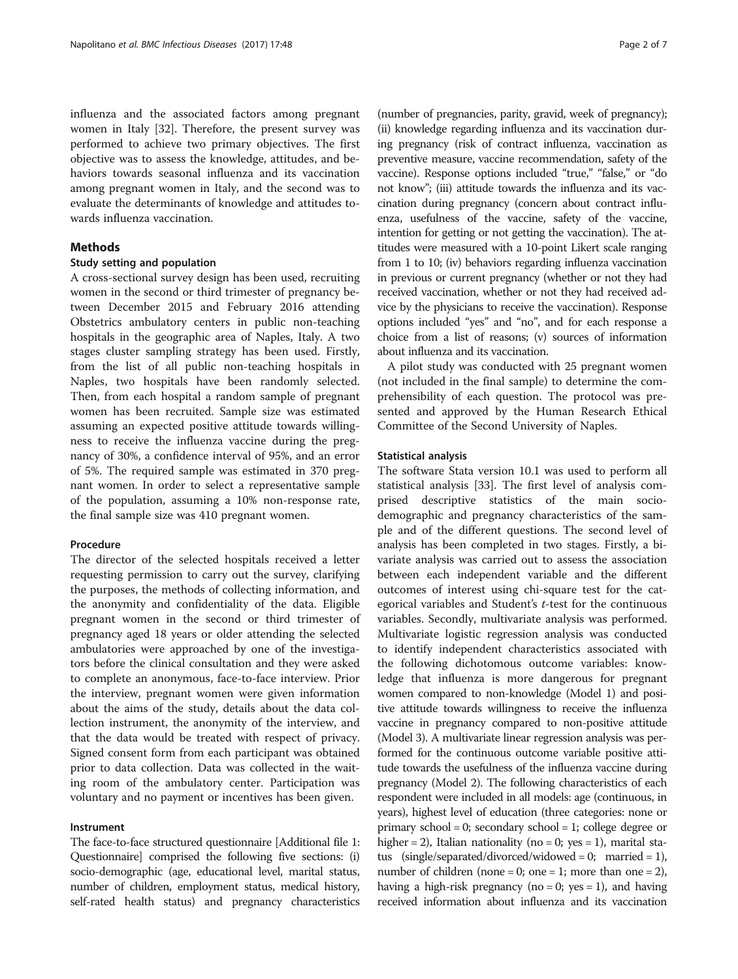influenza and the associated factors among pregnant women in Italy [[32\]](#page-6-0). Therefore, the present survey was performed to achieve two primary objectives. The first objective was to assess the knowledge, attitudes, and behaviors towards seasonal influenza and its vaccination among pregnant women in Italy, and the second was to evaluate the determinants of knowledge and attitudes towards influenza vaccination.

# Methods

# Study setting and population

A cross-sectional survey design has been used, recruiting women in the second or third trimester of pregnancy between December 2015 and February 2016 attending Obstetrics ambulatory centers in public non-teaching hospitals in the geographic area of Naples, Italy. A two stages cluster sampling strategy has been used. Firstly, from the list of all public non-teaching hospitals in Naples, two hospitals have been randomly selected. Then, from each hospital a random sample of pregnant women has been recruited. Sample size was estimated assuming an expected positive attitude towards willingness to receive the influenza vaccine during the pregnancy of 30%, a confidence interval of 95%, and an error of 5%. The required sample was estimated in 370 pregnant women. In order to select a representative sample of the population, assuming a 10% non-response rate, the final sample size was 410 pregnant women.

#### Procedure

The director of the selected hospitals received a letter requesting permission to carry out the survey, clarifying the purposes, the methods of collecting information, and the anonymity and confidentiality of the data. Eligible pregnant women in the second or third trimester of pregnancy aged 18 years or older attending the selected ambulatories were approached by one of the investigators before the clinical consultation and they were asked to complete an anonymous, face-to-face interview. Prior the interview, pregnant women were given information about the aims of the study, details about the data collection instrument, the anonymity of the interview, and that the data would be treated with respect of privacy. Signed consent form from each participant was obtained prior to data collection. Data was collected in the waiting room of the ambulatory center. Participation was voluntary and no payment or incentives has been given.

## Instrument

The face-to-face structured questionnaire [Additional file [1](#page-5-0): Questionnaire] comprised the following five sections: (i) socio-demographic (age, educational level, marital status, number of children, employment status, medical history, self-rated health status) and pregnancy characteristics

(number of pregnancies, parity, gravid, week of pregnancy); (ii) knowledge regarding influenza and its vaccination during pregnancy (risk of contract influenza, vaccination as preventive measure, vaccine recommendation, safety of the vaccine). Response options included "true," "false," or "do not know"; (iii) attitude towards the influenza and its vaccination during pregnancy (concern about contract influenza, usefulness of the vaccine, safety of the vaccine, intention for getting or not getting the vaccination). The attitudes were measured with a 10-point Likert scale ranging from 1 to 10; (iv) behaviors regarding influenza vaccination in previous or current pregnancy (whether or not they had received vaccination, whether or not they had received advice by the physicians to receive the vaccination). Response options included "yes" and "no", and for each response a choice from a list of reasons; (v) sources of information about influenza and its vaccination.

A pilot study was conducted with 25 pregnant women (not included in the final sample) to determine the comprehensibility of each question. The protocol was presented and approved by the Human Research Ethical Committee of the Second University of Naples.

#### Statistical analysis

The software Stata version 10.1 was used to perform all statistical analysis [[33\]](#page-6-0). The first level of analysis comprised descriptive statistics of the main sociodemographic and pregnancy characteristics of the sample and of the different questions. The second level of analysis has been completed in two stages. Firstly, a bivariate analysis was carried out to assess the association between each independent variable and the different outcomes of interest using chi-square test for the categorical variables and Student's t-test for the continuous variables. Secondly, multivariate analysis was performed. Multivariate logistic regression analysis was conducted to identify independent characteristics associated with the following dichotomous outcome variables: knowledge that influenza is more dangerous for pregnant women compared to non-knowledge (Model 1) and positive attitude towards willingness to receive the influenza vaccine in pregnancy compared to non-positive attitude (Model 3). A multivariate linear regression analysis was performed for the continuous outcome variable positive attitude towards the usefulness of the influenza vaccine during pregnancy (Model 2). The following characteristics of each respondent were included in all models: age (continuous, in years), highest level of education (three categories: none or primary school = 0; secondary school = 1; college degree or higher = 2), Italian nationality (no = 0; yes = 1), marital status  $(single/separated/divorced/widowed = 0; married = 1)$ , number of children (none = 0; one = 1; more than one = 2), having a high-risk pregnancy ( $no = 0$ ;  $yes = 1$ ), and having received information about influenza and its vaccination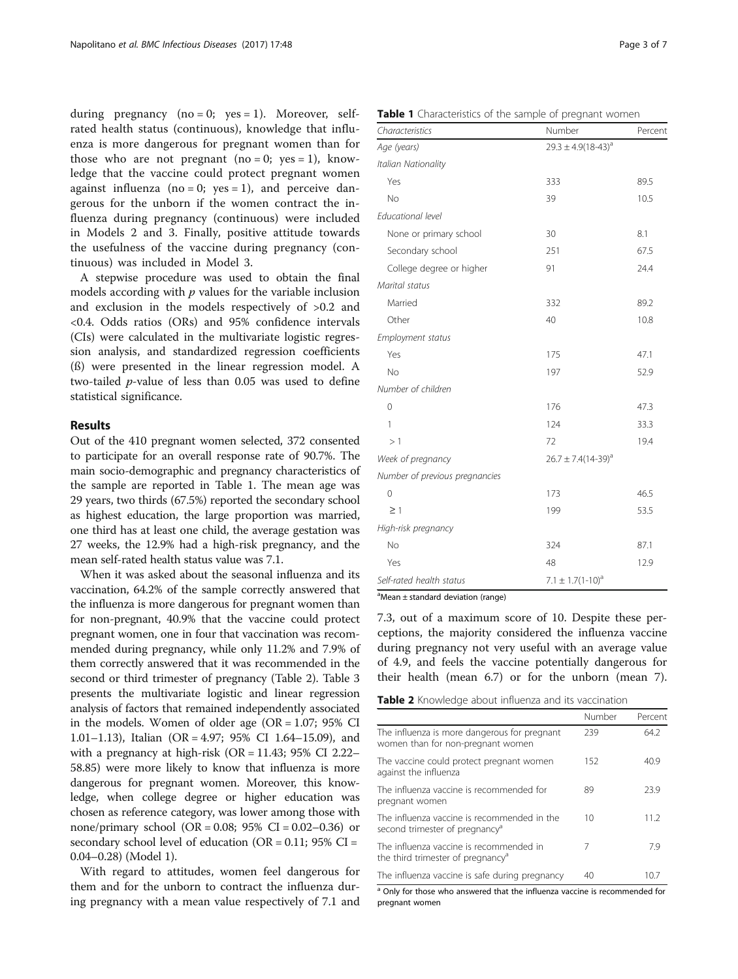during pregnancy  $(no = 0; yes = 1)$ . Moreover, selfrated health status (continuous), knowledge that influenza is more dangerous for pregnant women than for those who are not pregnant  $(no = 0; yes = 1)$ , knowledge that the vaccine could protect pregnant women against influenza (no = 0; yes = 1), and perceive dangerous for the unborn if the women contract the influenza during pregnancy (continuous) were included in Models 2 and 3. Finally, positive attitude towards the usefulness of the vaccine during pregnancy (continuous) was included in Model 3.

A stepwise procedure was used to obtain the final models according with  $p$  values for the variable inclusion and exclusion in the models respectively of >0.2 and <0.4. Odds ratios (ORs) and 95% confidence intervals (CIs) were calculated in the multivariate logistic regression analysis, and standardized regression coefficients (ß) were presented in the linear regression model. A two-tailed p-value of less than 0.05 was used to define statistical significance.

# Results

Out of the 410 pregnant women selected, 372 consented to participate for an overall response rate of 90.7%. The main socio-demographic and pregnancy characteristics of the sample are reported in Table 1. The mean age was 29 years, two thirds (67.5%) reported the secondary school as highest education, the large proportion was married, one third has at least one child, the average gestation was 27 weeks, the 12.9% had a high-risk pregnancy, and the mean self-rated health status value was 7.1.

When it was asked about the seasonal influenza and its vaccination, 64.2% of the sample correctly answered that the influenza is more dangerous for pregnant women than for non-pregnant, 40.9% that the vaccine could protect pregnant women, one in four that vaccination was recommended during pregnancy, while only 11.2% and 7.9% of them correctly answered that it was recommended in the second or third trimester of pregnancy (Table 2). Table [3](#page-3-0) presents the multivariate logistic and linear regression analysis of factors that remained independently associated in the models. Women of older age  $(OR = 1.07; 95\% \text{ CI})$ 1.01–1.13), Italian (OR = 4.97; 95% CI 1.64–15.09), and with a pregnancy at high-risk ( $OR = 11.43$ ; 95% CI 2.22– 58.85) were more likely to know that influenza is more dangerous for pregnant women. Moreover, this knowledge, when college degree or higher education was chosen as reference category, was lower among those with none/primary school (OR =  $0.08$ ; 95% CI =  $0.02 - 0.36$ ) or secondary school level of education ( $OR = 0.11$ ; 95%  $CI =$ 0.04–0.28) (Model 1).

With regard to attitudes, women feel dangerous for them and for the unborn to contract the influenza during pregnancy with a mean value respectively of 7.1 and

| Table 1 Characteristics of the sample of pregnant women |  |
|---------------------------------------------------------|--|
|---------------------------------------------------------|--|

| Characteristics                | Number                      | Percent |
|--------------------------------|-----------------------------|---------|
| Age (years)                    | $29.3 \pm 4.9(18 - 43)^{a}$ |         |
| Italian Nationality            |                             |         |
| Yes                            | 333                         | 89.5    |
| <b>No</b>                      | 39                          | 10.5    |
| Educational level              |                             |         |
| None or primary school         | 30                          | 8.1     |
| Secondary school               | 251                         | 67.5    |
| College degree or higher       | 91                          | 24.4    |
| Marital status                 |                             |         |
| Married                        | 332                         | 89.2    |
| Other                          | 40                          | 10.8    |
| Employment status              |                             |         |
| Yes                            | 175                         | 47.1    |
| No                             | 197                         | 52.9    |
| Number of children             |                             |         |
| $\mathbf 0$                    | 176                         | 47.3    |
| 1                              | 124                         | 33.3    |
| >1                             | 72                          | 19.4    |
| Week of pregnancy              | $26.7 \pm 7.4(14-39)^{a}$   |         |
| Number of previous pregnancies |                             |         |
| $\Omega$                       | 173                         | 46.5    |
| $\geq$ 1                       | 199                         | 53.5    |
| High-risk pregnancy            |                             |         |
| No                             | 324                         | 87.1    |
| Yes                            | 48                          | 12.9    |
| Self-rated health status       | $7.1 \pm 1.7(1-10)^{a}$     |         |

a Mean ± standard deviation (range)

7.3, out of a maximum score of 10. Despite these perceptions, the majority considered the influenza vaccine during pregnancy not very useful with an average value of 4.9, and feels the vaccine potentially dangerous for their health (mean 6.7) or for the unborn (mean 7).

| Table 2 Knowledge about influenza and its vaccination |  |
|-------------------------------------------------------|--|
|-------------------------------------------------------|--|

|                                                                                           | Number | Percent |
|-------------------------------------------------------------------------------------------|--------|---------|
| The influenza is more dangerous for pregnant<br>women than for non-pregnant women         | 239    | 64 2    |
| The vaccine could protect pregnant women<br>against the influenza                         | 152    | 40.9    |
| The influenza vaccine is recommended for<br>pregnant women                                | 89     | 23.9    |
| The influenza vaccine is recommended in the<br>second trimester of pregnancy <sup>a</sup> | 10     | 11 2    |
| The influenza vaccine is recommended in<br>the third trimester of pregnancy <sup>a</sup>  | 7      | 7.9     |
| The influenza vaccine is safe during pregnancy                                            | 40     | 10.7    |

<sup>a</sup> Only for those who answered that the influenza vaccine is recommended for pregnant women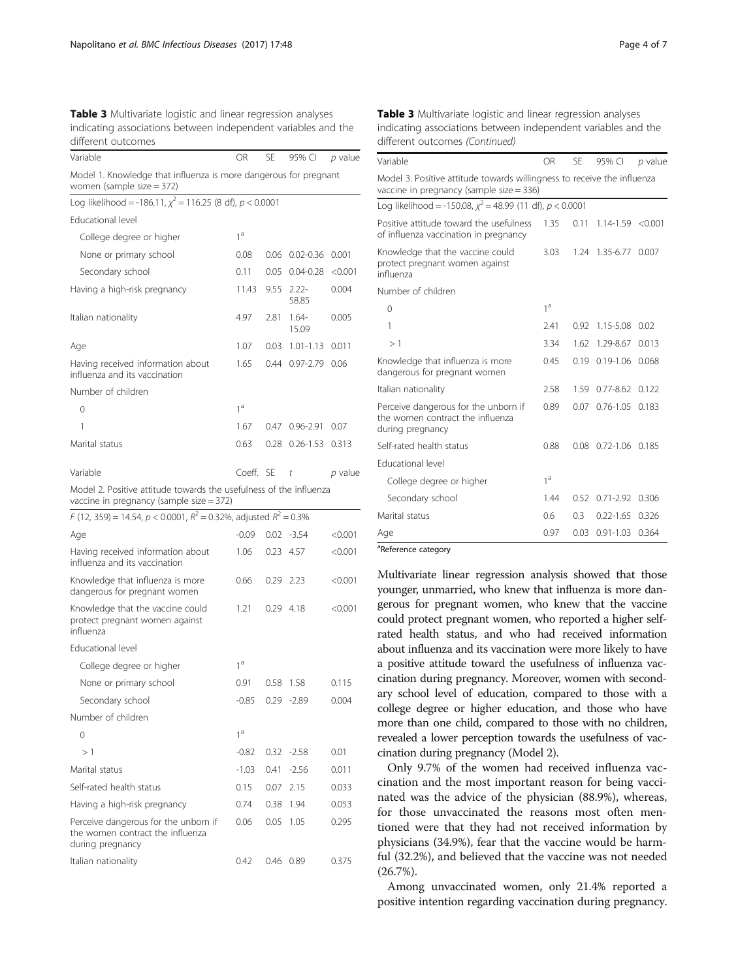<span id="page-3-0"></span>Table 3 Multivariate logistic and linear regression analyses

| indicating associations between independent variables and the<br>different outcomes                            |                |           |                      |                |
|----------------------------------------------------------------------------------------------------------------|----------------|-----------|----------------------|----------------|
| Variable                                                                                                       | <b>OR</b>      | <b>SE</b> | 95% CI               | p value        |
| Model 1. Knowledge that influenza is more dangerous for pregnant<br>women (sample size $=$ 372)                |                |           |                      |                |
| Log likelihood = -186.11, $\chi^2$ = 116.25 (8 df), $p < 0.0001$                                               |                |           |                      |                |
| Educational level                                                                                              |                |           |                      |                |
| College degree or higher                                                                                       | 1 <sup>a</sup> |           |                      |                |
| None or primary school                                                                                         | 0.08           | 0.06      | $0.02 - 0.36$        | 0.001          |
| Secondary school                                                                                               | 0.11           | 0.05      | $0.04 - 0.28$        | < 0.001        |
| Having a high-risk pregnancy                                                                                   | 11.43          | 9.55      | $2.22 -$<br>58.85    | 0.004          |
| Italian nationality                                                                                            | 4.97           | 2.81      | $1.64 -$<br>15.09    | 0.005          |
| Age                                                                                                            | 1.07           | 0.03      | $1.01 - 1.13$        | 0.011          |
| Having received information about<br>influenza and its vaccination                                             | 1.65           | 0.44      | $0.97 - 2.79$        | 0.06           |
| Number of children                                                                                             |                |           |                      |                |
| 0                                                                                                              | 1 <sup>a</sup> |           |                      |                |
| 1                                                                                                              | 1.67           |           | $0.47$ $0.96 - 2.91$ | 0.07           |
| Marital status                                                                                                 | 0.63           | 0.28      | $0.26 - 1.53$        | 0.313          |
| Variable                                                                                                       | Coeff. SE      |           | $\ddot{\phantom{1}}$ | p value        |
| Model 2. Positive attitude towards the usefulness of the influenza<br>vaccine in pregnancy (sample size = 372) |                |           |                      |                |
| F (12, 359) = 14.54, $p < 0.0001$ , $R^2 = 0.32$ %, adjusted $R^2 = 0.3$ %                                     |                |           |                      |                |
| Age                                                                                                            | $-0.09$        | 0.02      | $-3.54$              | $<$ 0.001 $\,$ |
| Having received information about<br>influenza and its vaccination                                             | 1.06           | 0.23      | 4.57                 | < 0.001        |
| Knowledge that influenza is more<br>dangerous for pregnant women                                               | 0.66           | 0.29      | 2.23                 | < 0.001        |
| Knowledge that the vaccine could<br>protect pregnant women against<br>influenza                                | 1.21           |           | $0.29$ 4.18          | < 0.001        |
| Educational level                                                                                              |                |           |                      |                |
| College degree or higher                                                                                       | 1 <sup>a</sup> |           |                      |                |
| None or primary school                                                                                         | 0.91           | 0.58      | 1.58                 | 0.115          |
| Secondary school                                                                                               | $-0.85$        | 0.29      | $-2.89$              | 0.004          |
| Number of children                                                                                             |                |           |                      |                |
| 0                                                                                                              | 1 <sup>a</sup> |           |                      |                |
| >1                                                                                                             | $-0.82$        | 0.32      | $-2.58$              | 0.01           |
| Marital status                                                                                                 | $-1.03$        | 0.41      | $-2.56$              | 0.011          |
| Self-rated health status                                                                                       | 0.15           | 0.07      | 2.15                 | 0.033          |
| Having a high-risk pregnancy                                                                                   | 0.74           | 0.38      | 1.94                 | 0.053          |
| Perceive dangerous for the unborn if<br>the women contract the influenza<br>during pregnancy                   | 0.06           | 0.05      | 1.05                 | 0.295          |
| Italian nationality                                                                                            | 0.42           | 0.46      | 0.89                 | 0.375          |

Table 3 Multivariate logistic and linear regression analyses indicating associations between independent variables and the different outcomes (Continued)

| Variable                                                                                                            | OR             | <b>SE</b> | 95% CI        | $p$ value |
|---------------------------------------------------------------------------------------------------------------------|----------------|-----------|---------------|-----------|
| Model 3. Positive attitude towards willingness to receive the influenza<br>vaccine in pregnancy (sample size = 336) |                |           |               |           |
| Log likelihood = -150.08, $\chi^2$ = 48.99 (11 df), $p < 0.0001$                                                    |                |           |               |           |
| Positive attitude toward the usefulness<br>of influenza vaccination in pregnancy                                    | 1.35           | 0.11      | 1.14-1.59     | < 0.001   |
| Knowledge that the vaccine could<br>protect pregnant women against<br>influenza                                     | 3.03           | 1.24      | 1.35-6.77     | 0.007     |
| Number of children                                                                                                  |                |           |               |           |
| $\Omega$                                                                                                            | 1 <sup>a</sup> |           |               |           |
| 1                                                                                                                   | 2.41           | 0.92      | 1.15-5.08     | 0.02      |
| >1                                                                                                                  | 3.34           | 1.62      | 1.29-8.67     | 0.013     |
| Knowledge that influenza is more<br>dangerous for pregnant women                                                    | 0.45           | 0.19      | $0.19 - 1.06$ | 0.068     |
| Italian nationality                                                                                                 | 2.58           | 1.59      | $0.77 - 8.62$ | 0.122     |
| Perceive dangerous for the unborn if<br>the women contract the influenza<br>during pregnancy                        | 0.89           | 0.07      | $0.76 - 1.05$ | 0.183     |
| Self-rated health status                                                                                            | 0.88           | 0.08      | $0.72 - 1.06$ | 0.185     |
| Educational level                                                                                                   |                |           |               |           |
| College degree or higher                                                                                            | 1 <sup>a</sup> |           |               |           |
| Secondary school                                                                                                    | 1.44           | 0.52      | $0.71 - 2.92$ | 0.306     |
| Marital status                                                                                                      | 0.6            | 0.3       | $0.22 - 1.65$ | 0.326     |
| Age                                                                                                                 | 0.97           | 0.03      | $0.91 - 1.03$ | 0.364     |

<sup>a</sup>Reference category

Multivariate linear regression analysis showed that those younger, unmarried, who knew that influenza is more dangerous for pregnant women, who knew that the vaccine could protect pregnant women, who reported a higher selfrated health status, and who had received information about influenza and its vaccination were more likely to have a positive attitude toward the usefulness of influenza vaccination during pregnancy. Moreover, women with secondary school level of education, compared to those with a college degree or higher education, and those who have more than one child, compared to those with no children, revealed a lower perception towards the usefulness of vaccination during pregnancy (Model 2).

Only 9.7% of the women had received influenza vaccination and the most important reason for being vaccinated was the advice of the physician (88.9%), whereas, for those unvaccinated the reasons most often mentioned were that they had not received information by physicians (34.9%), fear that the vaccine would be harmful (32.2%), and believed that the vaccine was not needed (26.7%).

Among unvaccinated women, only 21.4% reported a positive intention regarding vaccination during pregnancy.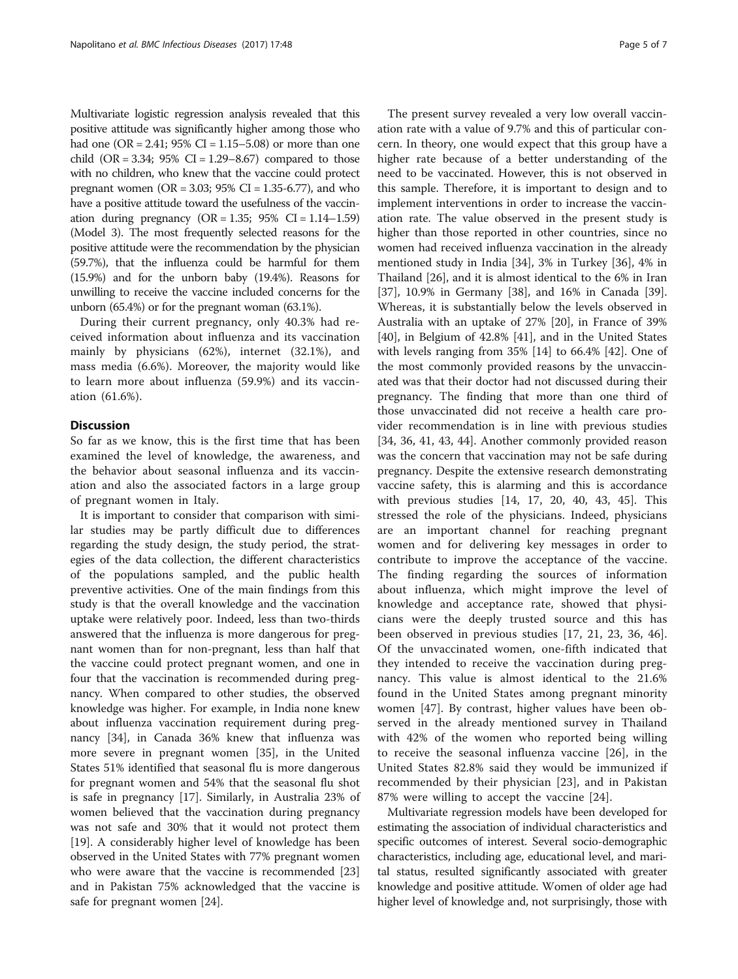Multivariate logistic regression analysis revealed that this positive attitude was significantly higher among those who had one ( $OR = 2.41$ ;  $95\% CI = 1.15 - 5.08$ ) or more than one child (OR = 3.34;  $95\%$  CI = 1.29–8.67) compared to those with no children, who knew that the vaccine could protect pregnant women ( $OR = 3.03$ ;  $95\%$  CI = 1.35-6.77), and who have a positive attitude toward the usefulness of the vaccination during pregnancy  $(OR = 1.35; 95\% \text{ CI} = 1.14-1.59)$ (Model 3). The most frequently selected reasons for the positive attitude were the recommendation by the physician (59.7%), that the influenza could be harmful for them (15.9%) and for the unborn baby (19.4%). Reasons for unwilling to receive the vaccine included concerns for the unborn (65.4%) or for the pregnant woman (63.1%).

During their current pregnancy, only 40.3% had received information about influenza and its vaccination mainly by physicians (62%), internet (32.1%), and mass media (6.6%). Moreover, the majority would like to learn more about influenza (59.9%) and its vaccination (61.6%).

# **Discussion**

So far as we know, this is the first time that has been examined the level of knowledge, the awareness, and the behavior about seasonal influenza and its vaccination and also the associated factors in a large group of pregnant women in Italy.

It is important to consider that comparison with similar studies may be partly difficult due to differences regarding the study design, the study period, the strategies of the data collection, the different characteristics of the populations sampled, and the public health preventive activities. One of the main findings from this study is that the overall knowledge and the vaccination uptake were relatively poor. Indeed, less than two-thirds answered that the influenza is more dangerous for pregnant women than for non-pregnant, less than half that the vaccine could protect pregnant women, and one in four that the vaccination is recommended during pregnancy. When compared to other studies, the observed knowledge was higher. For example, in India none knew about influenza vaccination requirement during pregnancy [[34](#page-6-0)], in Canada 36% knew that influenza was more severe in pregnant women [\[35](#page-6-0)], in the United States 51% identified that seasonal flu is more dangerous for pregnant women and 54% that the seasonal flu shot is safe in pregnancy [[17\]](#page-6-0). Similarly, in Australia 23% of women believed that the vaccination during pregnancy was not safe and 30% that it would not protect them [[19\]](#page-6-0). A considerably higher level of knowledge has been observed in the United States with 77% pregnant women who were aware that the vaccine is recommended [[23](#page-6-0)] and in Pakistan 75% acknowledged that the vaccine is safe for pregnant women [\[24\]](#page-6-0).

The present survey revealed a very low overall vaccination rate with a value of 9.7% and this of particular concern. In theory, one would expect that this group have a higher rate because of a better understanding of the need to be vaccinated. However, this is not observed in this sample. Therefore, it is important to design and to implement interventions in order to increase the vaccination rate. The value observed in the present study is higher than those reported in other countries, since no women had received influenza vaccination in the already mentioned study in India [\[34\]](#page-6-0), 3% in Turkey [[36\]](#page-6-0), 4% in Thailand [\[26\]](#page-6-0), and it is almost identical to the 6% in Iran [[37\]](#page-6-0), 10.9% in Germany [\[38\]](#page-6-0), and 16% in Canada [\[39](#page-6-0)]. Whereas, it is substantially below the levels observed in Australia with an uptake of 27% [[20\]](#page-6-0), in France of 39% [[40\]](#page-6-0), in Belgium of 42.8% [[41](#page-6-0)], and in the United States with levels ranging from 35% [[14](#page-6-0)] to 66.4% [\[42\]](#page-6-0). One of the most commonly provided reasons by the unvaccinated was that their doctor had not discussed during their pregnancy. The finding that more than one third of those unvaccinated did not receive a health care provider recommendation is in line with previous studies [[34, 36](#page-6-0), [41](#page-6-0), [43, 44](#page-6-0)]. Another commonly provided reason was the concern that vaccination may not be safe during pregnancy. Despite the extensive research demonstrating vaccine safety, this is alarming and this is accordance with previous studies [[14](#page-6-0), [17, 20, 40](#page-6-0), [43, 45\]](#page-6-0). This stressed the role of the physicians. Indeed, physicians are an important channel for reaching pregnant women and for delivering key messages in order to contribute to improve the acceptance of the vaccine. The finding regarding the sources of information about influenza, which might improve the level of knowledge and acceptance rate, showed that physicians were the deeply trusted source and this has been observed in previous studies [[17, 21](#page-6-0), [23](#page-6-0), [36, 46](#page-6-0)]. Of the unvaccinated women, one-fifth indicated that they intended to receive the vaccination during pregnancy. This value is almost identical to the 21.6% found in the United States among pregnant minority women [[47\]](#page-6-0). By contrast, higher values have been observed in the already mentioned survey in Thailand with 42% of the women who reported being willing to receive the seasonal influenza vaccine [[26\]](#page-6-0), in the United States 82.8% said they would be immunized if recommended by their physician [\[23](#page-6-0)], and in Pakistan 87% were willing to accept the vaccine [[24\]](#page-6-0).

Multivariate regression models have been developed for estimating the association of individual characteristics and specific outcomes of interest. Several socio-demographic characteristics, including age, educational level, and marital status, resulted significantly associated with greater knowledge and positive attitude. Women of older age had higher level of knowledge and, not surprisingly, those with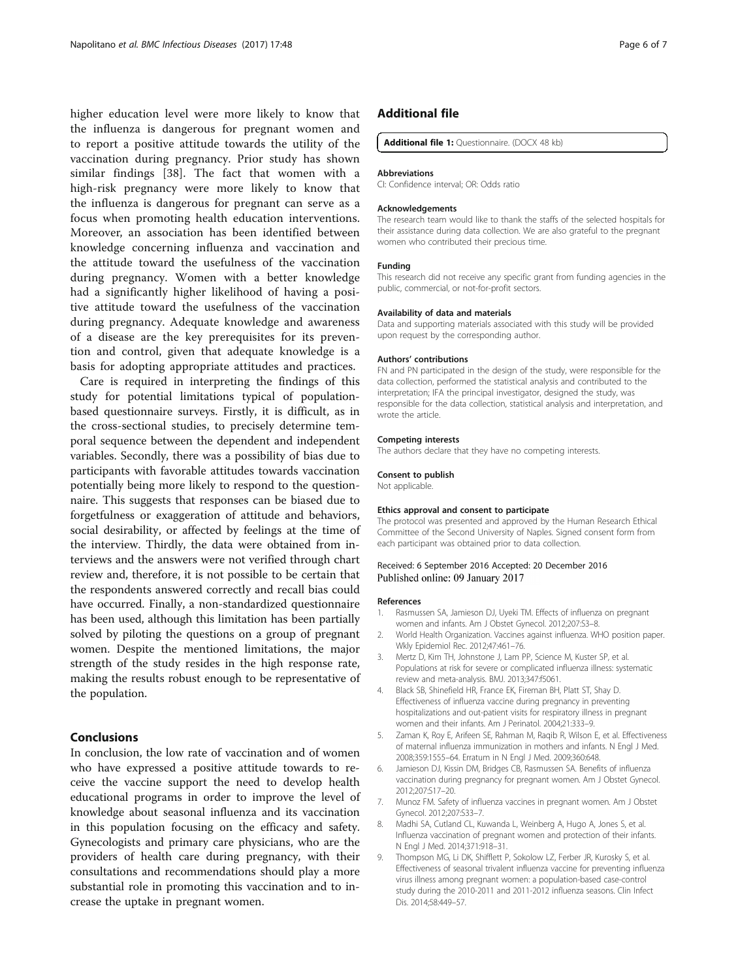<span id="page-5-0"></span>higher education level were more likely to know that the influenza is dangerous for pregnant women and to report a positive attitude towards the utility of the vaccination during pregnancy. Prior study has shown similar findings [[38\]](#page-6-0). The fact that women with a high-risk pregnancy were more likely to know that the influenza is dangerous for pregnant can serve as a focus when promoting health education interventions. Moreover, an association has been identified between knowledge concerning influenza and vaccination and the attitude toward the usefulness of the vaccination during pregnancy. Women with a better knowledge had a significantly higher likelihood of having a positive attitude toward the usefulness of the vaccination during pregnancy. Adequate knowledge and awareness of a disease are the key prerequisites for its prevention and control, given that adequate knowledge is a basis for adopting appropriate attitudes and practices.

Care is required in interpreting the findings of this study for potential limitations typical of populationbased questionnaire surveys. Firstly, it is difficult, as in the cross-sectional studies, to precisely determine temporal sequence between the dependent and independent variables. Secondly, there was a possibility of bias due to participants with favorable attitudes towards vaccination potentially being more likely to respond to the questionnaire. This suggests that responses can be biased due to forgetfulness or exaggeration of attitude and behaviors, social desirability, or affected by feelings at the time of the interview. Thirdly, the data were obtained from interviews and the answers were not verified through chart review and, therefore, it is not possible to be certain that the respondents answered correctly and recall bias could have occurred. Finally, a non-standardized questionnaire has been used, although this limitation has been partially solved by piloting the questions on a group of pregnant women. Despite the mentioned limitations, the major strength of the study resides in the high response rate, making the results robust enough to be representative of the population.

# **Conclusions**

In conclusion, the low rate of vaccination and of women who have expressed a positive attitude towards to receive the vaccine support the need to develop health educational programs in order to improve the level of knowledge about seasonal influenza and its vaccination in this population focusing on the efficacy and safety. Gynecologists and primary care physicians, who are the providers of health care during pregnancy, with their consultations and recommendations should play a more substantial role in promoting this vaccination and to increase the uptake in pregnant women.

# Additional file

[Additional file 1:](dx.doi.org/10.1186/s12879-016-2138-2) Questionnaire. (DOCX 48 kb)

## Abbreviations

CI: Confidence interval; OR: Odds ratio

#### Acknowledgements

The research team would like to thank the staffs of the selected hospitals for their assistance during data collection. We are also grateful to the pregnant women who contributed their precious time.

#### Funding

This research did not receive any specific grant from funding agencies in the public, commercial, or not-for-profit sectors.

#### Availability of data and materials

Data and supporting materials associated with this study will be provided upon request by the corresponding author.

#### Authors' contributions

FN and PN participated in the design of the study, were responsible for the data collection, performed the statistical analysis and contributed to the interpretation; IFA the principal investigator, designed the study, was responsible for the data collection, statistical analysis and interpretation, and wrote the article.

#### Competing interests

The authors declare that they have no competing interests.

#### Consent to publish

Not applicable.

#### Ethics approval and consent to participate

The protocol was presented and approved by the Human Research Ethical Committee of the Second University of Naples. Signed consent form from each participant was obtained prior to data collection.

#### Received: 6 September 2016 Accepted: 20 December 2016 Published online: 09 January 2017

#### References

- 1. Rasmussen SA, Jamieson DJ, Uyeki TM. Effects of influenza on pregnant women and infants. Am J Obstet Gynecol. 2012;207:S3–8.
- 2. World Health Organization. Vaccines against influenza. WHO position paper. Wkly Epidemiol Rec. 2012;47:461–76.
- 3. Mertz D, Kim TH, Johnstone J, Lam PP, Science M, Kuster SP, et al. Populations at risk for severe or complicated influenza illness: systematic review and meta-analysis. BMJ. 2013;347:f5061.
- 4. Black SB, Shinefield HR, France EK, Fireman BH, Platt ST, Shay D. Effectiveness of influenza vaccine during pregnancy in preventing hospitalizations and out-patient visits for respiratory illness in pregnant women and their infants. Am J Perinatol. 2004;21:333–9.
- 5. Zaman K, Roy E, Arifeen SE, Rahman M, Raqib R, Wilson E, et al. Effectiveness of maternal influenza immunization in mothers and infants. N Engl J Med. 2008;359:1555–64. Erratum in N Engl J Med. 2009;360:648.
- 6. Jamieson DJ, Kissin DM, Bridges CB, Rasmussen SA. Benefits of influenza vaccination during pregnancy for pregnant women. Am J Obstet Gynecol. 2012;207:S17–20.
- Munoz FM. Safety of influenza vaccines in pregnant women. Am J Obstet Gynecol. 2012;207:S33–7.
- 8. Madhi SA, Cutland CL, Kuwanda L, Weinberg A, Hugo A, Jones S, et al. Influenza vaccination of pregnant women and protection of their infants. N Engl J Med. 2014;371:918–31.
- 9. Thompson MG, Li DK, Shifflett P, Sokolow LZ, Ferber JR, Kurosky S, et al. Effectiveness of seasonal trivalent influenza vaccine for preventing influenza virus illness among pregnant women: a population-based case-control study during the 2010-2011 and 2011-2012 influenza seasons. Clin Infect Dis. 2014;58:449–57.